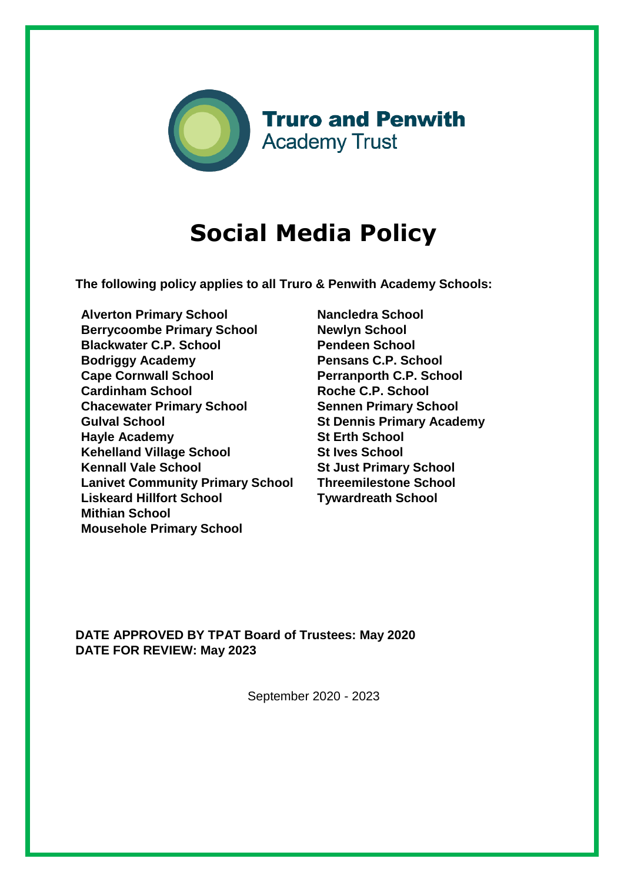

# **Social Media Policy**

**The following policy applies to all Truro & Penwith Academy Schools:** 

**Alverton Primary School Berrycoombe Primary School Blackwater C.P. School Bodriggy Academy Cape Cornwall School Cardinham School Chacewater Primary School Gulval School Hayle Academy Kehelland Village School Kennall Vale School Lanivet Community Primary School Liskeard Hillfort School Mithian School Mousehole Primary School**

**Nancledra School Newlyn School Pendeen School Pensans C.P. School Perranporth C.P. School Roche C.P. School Sennen Primary School St Dennis Primary Academy St Erth School St Ives School St Just Primary School Threemilestone School Tywardreath School** 

**DATE APPROVED BY TPAT Board of Trustees: May 2020 DATE FOR REVIEW: May 2023**

September 2020 - 2023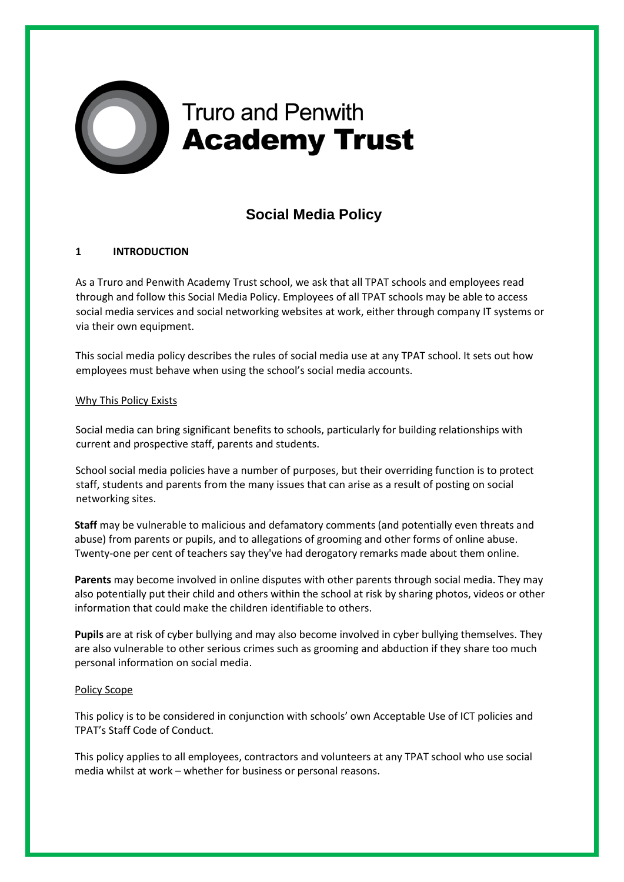

# **Truro and Penwith Academy Trust**

# **Social Media Policy**

## **1 INTRODUCTION**

As a Truro and Penwith Academy Trust school, we ask that all TPAT schools and employees read through and follow this Social Media Policy. Employees of all TPAT schools may be able to access social media services and social networking websites at work, either through company IT systems or via their own equipment.

This social media policy describes the rules of social media use at any TPAT school. It sets out how employees must behave when using the school's social media accounts.

#### Why This Policy Exists

Social media can bring significant benefits to schools, particularly for building relationships with current and prospective staff, parents and students.

School social media policies have a number of purposes, but their overriding function is to protect staff, students and parents from the many issues that can arise as a result of posting on social networking sites.

**Staff** may be vulnerable to malicious and defamatory comments (and potentially even threats and abuse) from parents or pupils, and to allegations of grooming and other forms of online abuse. Twenty-one per cent of teachers say they've had derogatory remarks made about them online.

**Parents** may become involved in online disputes with other parents through social media. They may also potentially put their child and others within the school at risk by sharing photos, videos or other information that could make the children identifiable to others.

**Pupils** are at risk of cyber bullying and may also become involved in cyber bullying themselves. They are also vulnerable to other serious crimes such as grooming and abduction if they share too much personal information on social media.

#### Policy Scope

This policy is to be considered in conjunction with schools' own Acceptable Use of ICT policies and TPAT's Staff Code of Conduct.

This policy applies to all employees, contractors and volunteers at any TPAT school who use social media whilst at work – whether for business or personal reasons.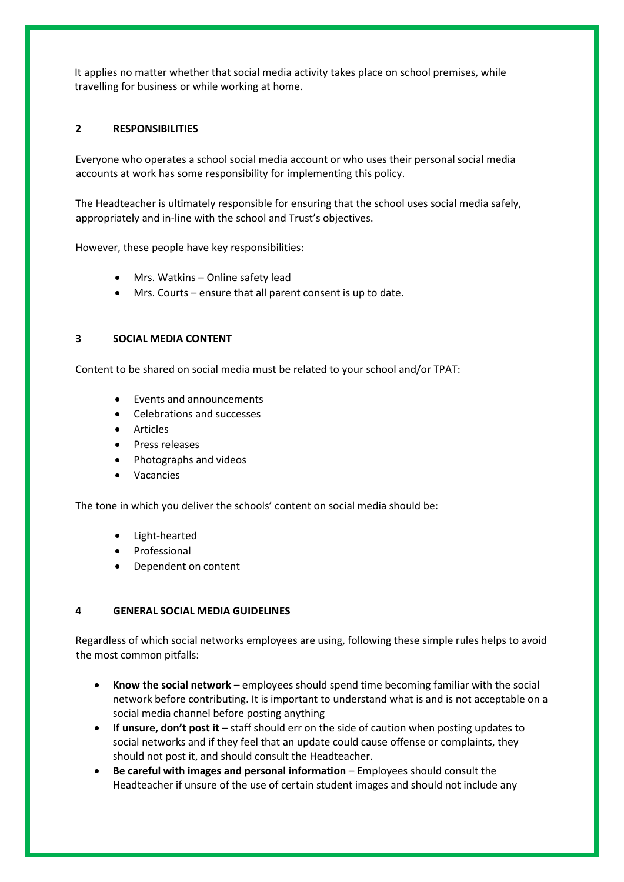It applies no matter whether that social media activity takes place on school premises, while travelling for business or while working at home.

### **2 RESPONSIBILITIES**

Everyone who operates a school social media account or who uses their personal social media accounts at work has some responsibility for implementing this policy.

The Headteacher is ultimately responsible for ensuring that the school uses social media safely, appropriately and in-line with the school and Trust's objectives.

However, these people have key responsibilities:

- Mrs. Watkins Online safety lead
- Mrs. Courts ensure that all parent consent is up to date.

#### **3 SOCIAL MEDIA CONTENT**

Content to be shared on social media must be related to your school and/or TPAT:

- Events and announcements
- Celebrations and successes
- Articles
- Press releases
- Photographs and videos
- Vacancies

The tone in which you deliver the schools' content on social media should be:

- Light-hearted
- Professional
- Dependent on content

#### **4 GENERAL SOCIAL MEDIA GUIDELINES**

Regardless of which social networks employees are using, following these simple rules helps to avoid the most common pitfalls:

- **Know the social network** employees should spend time becoming familiar with the social network before contributing. It is important to understand what is and is not acceptable on a social media channel before posting anything
- **If unsure, don't post it** staff should err on the side of caution when posting updates to social networks and if they feel that an update could cause offense or complaints, they should not post it, and should consult the Headteacher.
- **Be careful with images and personal information** Employees should consult the Headteacher if unsure of the use of certain student images and should not include any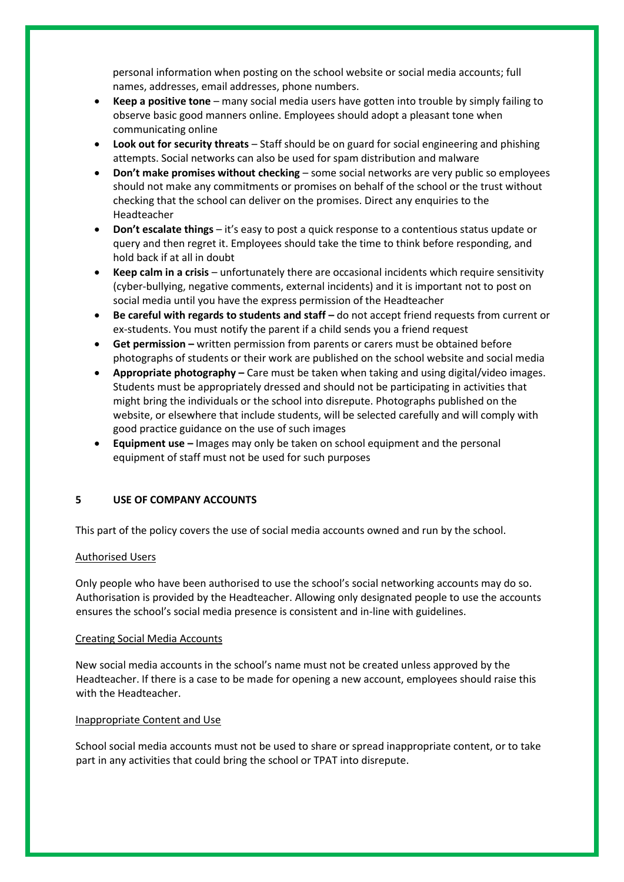personal information when posting on the school website or social media accounts; full names, addresses, email addresses, phone numbers.

- **Keep a positive tone** many social media users have gotten into trouble by simply failing to observe basic good manners online. Employees should adopt a pleasant tone when communicating online
- **Look out for security threats** Staff should be on guard for social engineering and phishing attempts. Social networks can also be used for spam distribution and malware
- **Don't make promises without checking** some social networks are very public so employees should not make any commitments or promises on behalf of the school or the trust without checking that the school can deliver on the promises. Direct any enquiries to the Headteacher
- **Don't escalate things** it's easy to post a quick response to a contentious status update or query and then regret it. Employees should take the time to think before responding, and hold back if at all in doubt
- **Keep calm in a crisis** unfortunately there are occasional incidents which require sensitivity (cyber-bullying, negative comments, external incidents) and it is important not to post on social media until you have the express permission of the Headteacher
- **Be careful with regards to students and staff do not accept friend requests from current or** ex-students. You must notify the parent if a child sends you a friend request
- **Get permission –** written permission from parents or carers must be obtained before photographs of students or their work are published on the school website and social media
- **Appropriate photography –** Care must be taken when taking and using digital/video images. Students must be appropriately dressed and should not be participating in activities that might bring the individuals or the school into disrepute. Photographs published on the website, or elsewhere that include students, will be selected carefully and will comply with good practice guidance on the use of such images
- **Equipment use –** Images may only be taken on school equipment and the personal equipment of staff must not be used for such purposes

#### **5 USE OF COMPANY ACCOUNTS**

This part of the policy covers the use of social media accounts owned and run by the school.

#### Authorised Users

Only people who have been authorised to use the school's social networking accounts may do so. Authorisation is provided by the Headteacher. Allowing only designated people to use the accounts ensures the school's social media presence is consistent and in-line with guidelines.

#### Creating Social Media Accounts

New social media accounts in the school's name must not be created unless approved by the Headteacher. If there is a case to be made for opening a new account, employees should raise this with the Headteacher.

#### Inappropriate Content and Use

School social media accounts must not be used to share or spread inappropriate content, or to take part in any activities that could bring the school or TPAT into disrepute.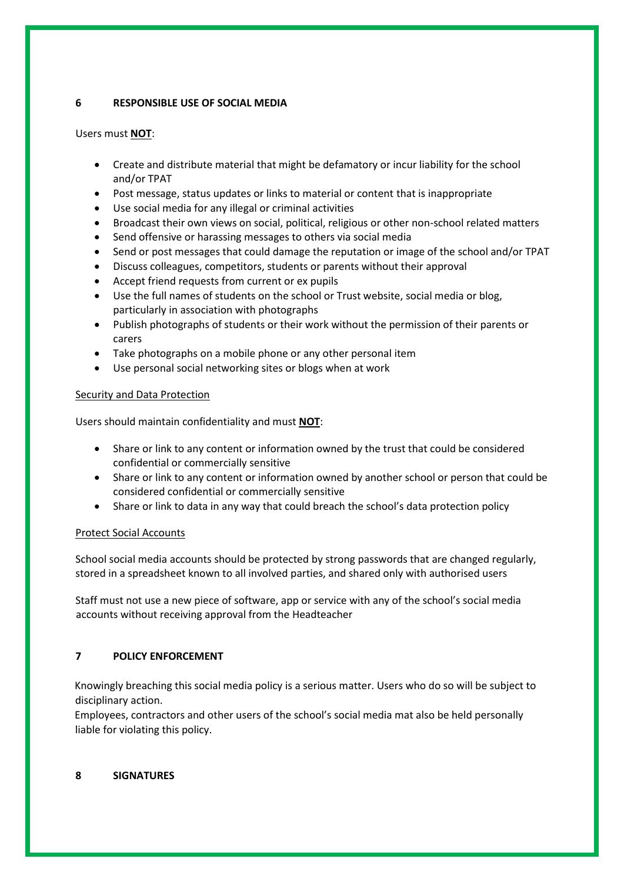### **6 RESPONSIBLE USE OF SOCIAL MEDIA**

### Users must **NOT**:

- Create and distribute material that might be defamatory or incur liability for the school and/or TPAT
- Post message, status updates or links to material or content that is inappropriate
- Use social media for any illegal or criminal activities
- Broadcast their own views on social, political, religious or other non-school related matters
- Send offensive or harassing messages to others via social media
- Send or post messages that could damage the reputation or image of the school and/or TPAT
- Discuss colleagues, competitors, students or parents without their approval
- Accept friend requests from current or ex pupils
- Use the full names of students on the school or Trust website, social media or blog, particularly in association with photographs
- Publish photographs of students or their work without the permission of their parents or carers
- Take photographs on a mobile phone or any other personal item
- Use personal social networking sites or blogs when at work

#### Security and Data Protection

Users should maintain confidentiality and must **NOT**:

- Share or link to any content or information owned by the trust that could be considered confidential or commercially sensitive
- Share or link to any content or information owned by another school or person that could be considered confidential or commercially sensitive
- Share or link to data in any way that could breach the school's data protection policy

#### Protect Social Accounts

School social media accounts should be protected by strong passwords that are changed regularly, stored in a spreadsheet known to all involved parties, and shared only with authorised users

Staff must not use a new piece of software, app or service with any of the school's social media accounts without receiving approval from the Headteacher

#### **7 POLICY ENFORCEMENT**

Knowingly breaching this social media policy is a serious matter. Users who do so will be subject to disciplinary action.

Employees, contractors and other users of the school's social media mat also be held personally liable for violating this policy.

#### **8 SIGNATURES**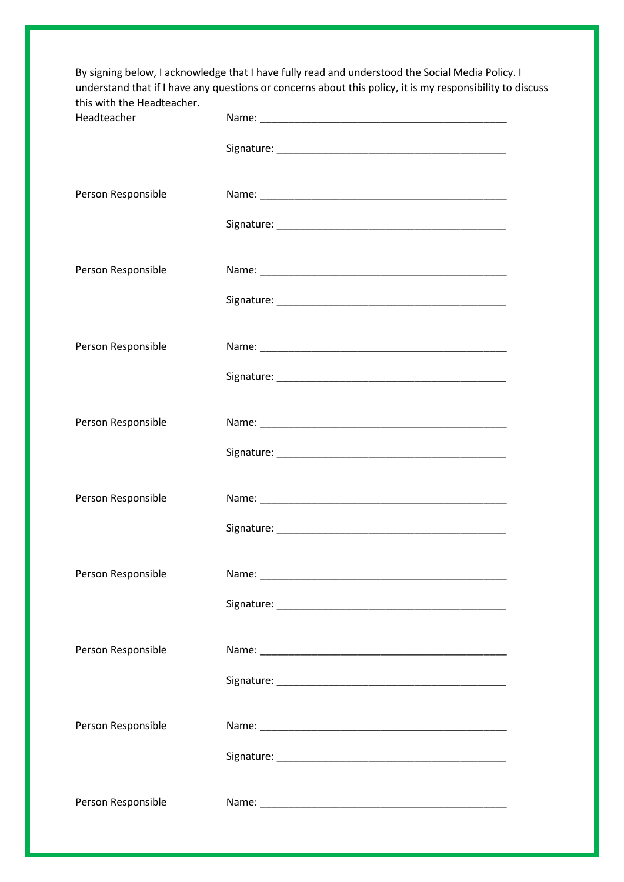|                                           | By signing below, I acknowledge that I have fully read and understood the Social Media Policy. I<br>understand that if I have any questions or concerns about this policy, it is my responsibility to discuss |
|-------------------------------------------|---------------------------------------------------------------------------------------------------------------------------------------------------------------------------------------------------------------|
| this with the Headteacher.<br>Headteacher |                                                                                                                                                                                                               |
|                                           |                                                                                                                                                                                                               |
| Person Responsible                        |                                                                                                                                                                                                               |
|                                           |                                                                                                                                                                                                               |
| Person Responsible                        |                                                                                                                                                                                                               |
|                                           |                                                                                                                                                                                                               |
| Person Responsible                        |                                                                                                                                                                                                               |
|                                           |                                                                                                                                                                                                               |
| Person Responsible                        |                                                                                                                                                                                                               |
|                                           |                                                                                                                                                                                                               |
| Person Responsible                        |                                                                                                                                                                                                               |
|                                           | Signature:                                                                                                                                                                                                    |
| Person Responsible                        |                                                                                                                                                                                                               |
|                                           |                                                                                                                                                                                                               |
| Person Responsible                        |                                                                                                                                                                                                               |
|                                           |                                                                                                                                                                                                               |
| Person Responsible                        |                                                                                                                                                                                                               |
|                                           |                                                                                                                                                                                                               |
| Person Responsible                        |                                                                                                                                                                                                               |